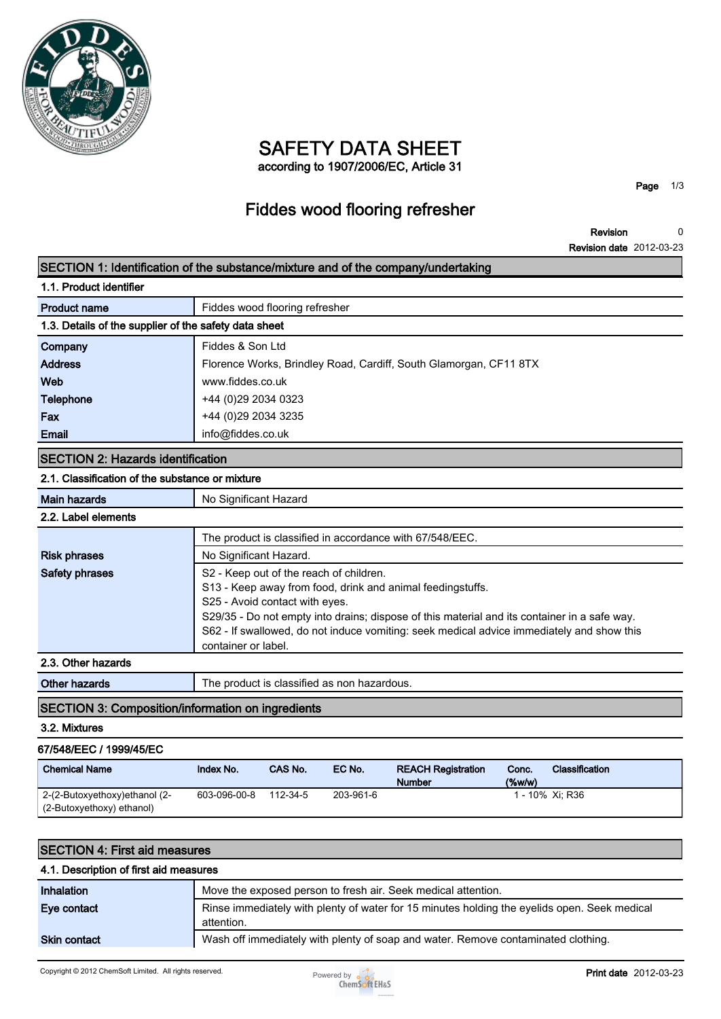

## **SAFETY DATA SHEET according to 1907/2006/EC, Article 31**

**Page 1/3**

# **Fiddes wood flooring refresher**

**Revision Revision date 2012-03-23 0**

|                                                          |                                |                        |                                             | SECTION 1: Identification of the substance/mixture and of the company/undertaking            |       |                       |
|----------------------------------------------------------|--------------------------------|------------------------|---------------------------------------------|----------------------------------------------------------------------------------------------|-------|-----------------------|
| 1.1. Product identifier                                  |                                |                        |                                             |                                                                                              |       |                       |
| <b>Product name</b>                                      | Fiddes wood flooring refresher |                        |                                             |                                                                                              |       |                       |
| 1.3. Details of the supplier of the safety data sheet    |                                |                        |                                             |                                                                                              |       |                       |
| Company                                                  | Fiddes & Son Ltd               |                        |                                             |                                                                                              |       |                       |
| <b>Address</b>                                           |                                |                        |                                             | Florence Works, Brindley Road, Cardiff, South Glamorgan, CF11 8TX                            |       |                       |
| Web                                                      | www.fiddes.co.uk               |                        |                                             |                                                                                              |       |                       |
| Telephone                                                | +44 (0)29 2034 0323            |                        |                                             |                                                                                              |       |                       |
| Fax                                                      | +44 (0)29 2034 3235            |                        |                                             |                                                                                              |       |                       |
| <b>Email</b>                                             | info@fiddes.co.uk              |                        |                                             |                                                                                              |       |                       |
| <b>SECTION 2: Hazards identification</b>                 |                                |                        |                                             |                                                                                              |       |                       |
| 2.1. Classification of the substance or mixture          |                                |                        |                                             |                                                                                              |       |                       |
| <b>Main hazards</b>                                      | No Significant Hazard          |                        |                                             |                                                                                              |       |                       |
| 2.2. Label elements                                      |                                |                        |                                             |                                                                                              |       |                       |
|                                                          |                                |                        |                                             | The product is classified in accordance with 67/548/EEC.                                     |       |                       |
| <b>Risk phrases</b>                                      |                                | No Significant Hazard. |                                             |                                                                                              |       |                       |
| Safety phrases                                           |                                |                        | S2 - Keep out of the reach of children.     |                                                                                              |       |                       |
|                                                          |                                |                        |                                             | S13 - Keep away from food, drink and animal feedingstuffs.                                   |       |                       |
|                                                          | S25 - Avoid contact with eyes. |                        |                                             | S29/35 - Do not empty into drains; dispose of this material and its container in a safe way. |       |                       |
|                                                          |                                |                        |                                             | S62 - If swallowed, do not induce vomiting: seek medical advice immediately and show this    |       |                       |
|                                                          | container or label.            |                        |                                             |                                                                                              |       |                       |
| 2.3. Other hazards                                       |                                |                        |                                             |                                                                                              |       |                       |
| <b>Other hazards</b>                                     |                                |                        | The product is classified as non hazardous. |                                                                                              |       |                       |
| <b>SECTION 3: Composition/information on ingredients</b> |                                |                        |                                             |                                                                                              |       |                       |
| 3.2. Mixtures                                            |                                |                        |                                             |                                                                                              |       |                       |
| 67/548/EEC / 1999/45/EC                                  |                                |                        |                                             |                                                                                              |       |                       |
|                                                          | Index No.                      | CAS No.                | EC No.                                      | <b>REACH Registration</b>                                                                    | Conc. | <b>Classification</b> |
| <b>Chemical Name</b>                                     |                                |                        |                                             | <b>Number</b>                                                                                | (%    | 1 - 10% Xi; R36       |

| 1929 1191 7. 1 1191 419 1116439163     |                                                                                                            |  |  |
|----------------------------------------|------------------------------------------------------------------------------------------------------------|--|--|
| 4.1. Description of first aid measures |                                                                                                            |  |  |
| Inhalation                             | Move the exposed person to fresh air. Seek medical attention.                                              |  |  |
| Eye contact                            | Rinse immediately with plenty of water for 15 minutes holding the eyelids open. Seek medical<br>attention. |  |  |
| <b>Skin contact</b>                    | Wash off immediately with plenty of soap and water. Remove contaminated clothing.                          |  |  |
|                                        |                                                                                                            |  |  |

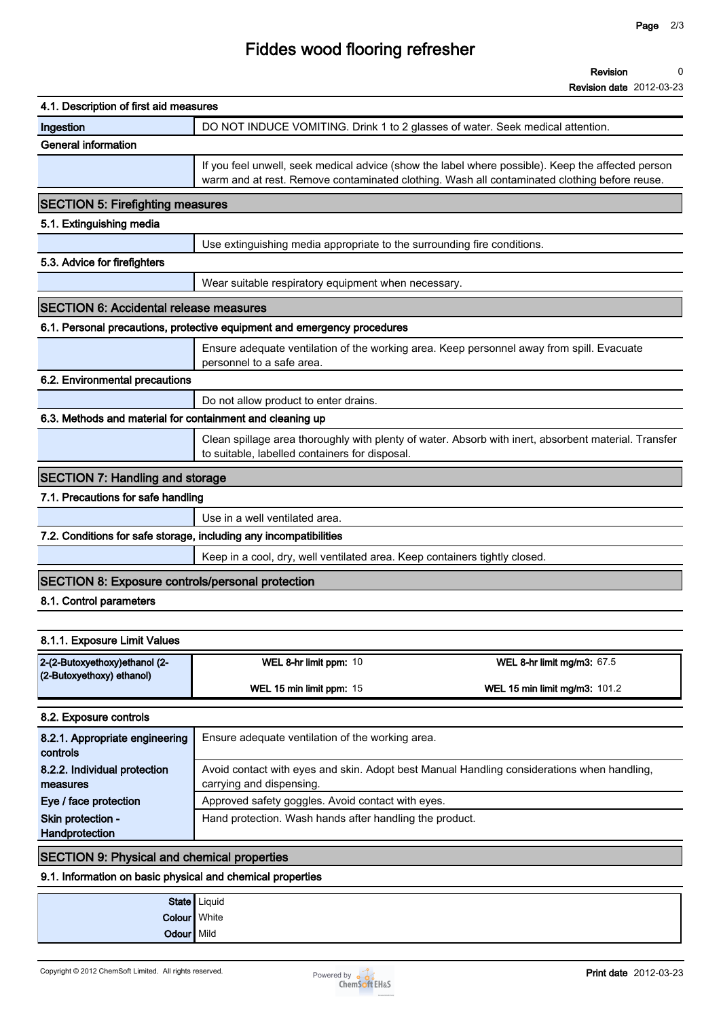## **Fiddes wood flooring refresher**

#### **Revision 0**

| <b>Revision date 2012-03-23</b> |  |
|---------------------------------|--|
|                                 |  |

| 4.1. Description of first aid measures                            |                                                                                                                                                                                                   |
|-------------------------------------------------------------------|---------------------------------------------------------------------------------------------------------------------------------------------------------------------------------------------------|
| Ingestion                                                         | DO NOT INDUCE VOMITING. Drink 1 to 2 glasses of water. Seek medical attention.                                                                                                                    |
| <b>General information</b>                                        |                                                                                                                                                                                                   |
|                                                                   | If you feel unwell, seek medical advice (show the label where possible). Keep the affected person<br>warm and at rest. Remove contaminated clothing. Wash all contaminated clothing before reuse. |
| <b>SECTION 5: Firefighting measures</b>                           |                                                                                                                                                                                                   |
| 5.1. Extinguishing media                                          |                                                                                                                                                                                                   |
|                                                                   | Use extinguishing media appropriate to the surrounding fire conditions.                                                                                                                           |
| 5.3. Advice for firefighters                                      |                                                                                                                                                                                                   |
|                                                                   | Wear suitable respiratory equipment when necessary.                                                                                                                                               |
| <b>SECTION 6: Accidental release measures</b>                     |                                                                                                                                                                                                   |
|                                                                   | 6.1. Personal precautions, protective equipment and emergency procedures                                                                                                                          |
|                                                                   | Ensure adequate ventilation of the working area. Keep personnel away from spill. Evacuate<br>personnel to a safe area.                                                                            |
| 6.2. Environmental precautions                                    |                                                                                                                                                                                                   |
|                                                                   | Do not allow product to enter drains.                                                                                                                                                             |
| 6.3. Methods and material for containment and cleaning up         |                                                                                                                                                                                                   |
|                                                                   | Clean spillage area thoroughly with plenty of water. Absorb with inert, absorbent material. Transfer<br>to suitable, labelled containers for disposal.                                            |
| <b>SECTION 7: Handling and storage</b>                            |                                                                                                                                                                                                   |
| 7.1. Precautions for safe handling                                |                                                                                                                                                                                                   |
|                                                                   | Use in a well ventilated area.                                                                                                                                                                    |
| 7.2. Conditions for safe storage, including any incompatibilities |                                                                                                                                                                                                   |
|                                                                   | Keep in a cool, dry, well ventilated area. Keep containers tightly closed.                                                                                                                        |
| <b>SECTION 8: Exposure controls/personal protection</b>           |                                                                                                                                                                                                   |
| 8.1. Control parameters                                           |                                                                                                                                                                                                   |
|                                                                   |                                                                                                                                                                                                   |
| 8.1.1. Exposure Limit Values                                      |                                                                                                                                                                                                   |
| 2-(2-Butoxyethoxy)ethanol (2-                                     | WEL 8-hr limit ppm: 10<br>WEL 8-hr limit mg/m3: 67.5                                                                                                                                              |
| (2-Butoxyethoxy) ethanol)                                         | WEL 15 min limit ppm: 15<br>WEL 15 min limit mg/m3: 101.2                                                                                                                                         |
| 8.2. Exposure controls                                            |                                                                                                                                                                                                   |
| 8.2.1. Appropriate engineering<br>controls                        | Ensure adequate ventilation of the working area.                                                                                                                                                  |
| 8.2.2. Individual protection                                      | Avoid contact with eyes and skin. Adopt best Manual Handling considerations when handling,                                                                                                        |

**SECTION 9: Physical and chemical properties**

**9.1. Information on basic physical and chemical properties**

**State Liquid Colour White Odour** Mild

**8.2.2. Individual protection measures**

**Skin protection - Handprotection**



**Hand protection. Wash hands after handling the product.**

**carrying and dispensing.**

**Eye / face protection Approved safety goggles. Avoid contact with eyes.**